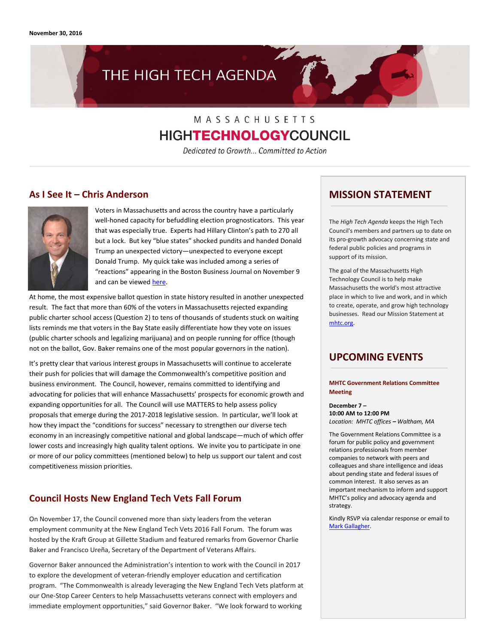# THE HIGH TECH AGENDA

## MASSACHUSETTS **HIGHTECHNOLOGYCOUNCIL**

Dedicated to Growth... Committed to Action

### **As I See It – Chris Anderson**



Voters in Massachusetts and across the country have a particularly well-honed capacity for befuddling election prognosticators. This year that was especially true. Experts had Hillary Clinton's path to 270 all but a lock. But key "blue states" shocked pundits and handed Donald Trump an unexpected victory—unexpected to everyone except Donald Trump. My quick take was included among a series of "reactions" appearing in the Boston Business Journal on November 9 and can be viewe[d here.](http://www.bizjournals.com/boston/news/2016/11/09/boston-business-leaders-react-after-trump-election.html#g16)

At home, the most expensive ballot question in state history resulted in another unexpected result. The fact that more than 60% of the voters in Massachusetts rejected expanding public charter school access (Question 2) to tens of thousands of students stuck on waiting lists reminds me that voters in the Bay State easily differentiate how they vote on issues (public charter schools and legalizing marijuana) and on people running for office (though not on the ballot, Gov. Baker remains one of the most popular governors in the nation).

It's pretty clear that various interest groups in Massachusetts will continue to accelerate their push for policies that will damage the Commonwealth's competitive position and business environment. The Council, however, remains committed to identifying and advocating for policies that will enhance Massachusetts' prospects for economic growth and expanding opportunities for all. The Council will use MATTERS to help assess policy proposals that emerge during the 2017-2018 legislative session. In particular, we'll look at how they impact the "conditions for success" necessary to strengthen our diverse tech economy in an increasingly competitive national and global landscape—much of which offer lower costs and increasingly high quality talent options. We invite you to participate in one or more of our policy committees (mentioned below) to help us support our talent and cost competitiveness mission priorities.

### **Council Hosts New England Tech Vets Fall Forum**

On November 17, the Council convened more than sixty leaders from the veteran employment community at the New England Tech Vets 2016 Fall Forum. The forum was hosted by the Kraft Group at Gillette Stadium and featured remarks from Governor Charlie Baker and Francisco Ureña, Secretary of the Department of Veterans Affairs.

Governor Baker announced the Administration's intention to work with the Council in 2017 to explore the development of veteran-friendly employer education and certification program. "The Commonwealth is already leveraging the New England Tech Vets platform at our One-Stop Career Centers to help Massachusetts veterans connect with employers and immediate employment opportunities," said Governor Baker. "We look forward to working

### **MISSION STATEMENT**

The *High Tech Agenda* keeps the High Tech Council's members and partners up to date on its pro-growth advocacy concerning state and federal public policies and programs in support of its mission.

The goal of the Massachusetts High Technology Council is to help make Massachusetts the world's most attractive place in which to live and work, and in which to create, operate, and grow high technology businesses. Read our Mission Statement at [mhtc.org.](http://www.mhtc.org/)

### **UPCOMING EVENTS**

#### **MHTC Government Relations Committee Meeting**

**December 7 – 10:00 AM to 12:00 PM** *Location: MHTC offices – Waltham, MA*

The Government Relations Committee is a forum for public policy and government relations professionals from member companies to network with peers and colleagues and share intelligence and ideas about pending state and federal issues of common interest. It also serves as an important mechanism to inform and support MHTC's policy and advocacy agenda and strategy.

Kindly RSVP via calendar response or email to [Mark Gallagher.](http://mark@mhtc.org/)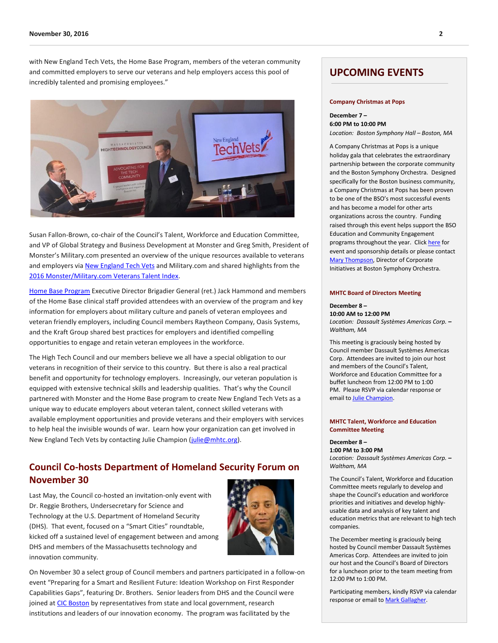with New England Tech Vets, the Home Base Program, members of the veteran community and committed employers to serve our veterans and help employers access this pool of incredibly talented and promising employees."



Susan Fallon-Brown, co-chair of the Council's Talent, Workforce and Education Committee, and VP of Global Strategy and Business Development at Monster and Greg Smith, President of Monster's Military.com presented an overview of the unique resources available to veterans and employers vi[a New England Tech Vets](http://www.newenglandtechvets.org/) and Military.com and shared highlights from the [2016 Monster/Military.com Veterans Talent Index.](https://www.monster.com/about/veterans-talent-index) 

[Home Base Program](http://homebase.org/) Executive Director Brigadier General (ret.) Jack Hammond and members of the Home Base clinical staff provided attendees with an overview of the program and key information for employers about military culture and panels of veteran employees and veteran friendly employers, including Council members Raytheon Company, Oasis Systems, and the Kraft Group shared best practices for employers and identified compelling opportunities to engage and retain veteran employees in the workforce.

The High Tech Council and our members believe we all have a special obligation to our veterans in recognition of their service to this country. But there is also a real practical benefit and opportunity for technology employers. Increasingly, our veteran population is equipped with extensive technical skills and leadership qualities. That's why the Council partnered with Monster and the Home Base program to create New England Tech Vets as a unique way to educate employers about veteran talent, connect skilled veterans with available employment opportunities and provide veterans and their employers with services to help heal the invisible wounds of war. Learn how your organization can get involved in New England Tech Vets by contacting Julie Champion [\(julie@mhtc.org\)](mailto:julie@mhtc.org).

### **Council Co-hosts Department of Homeland Security Forum on November 30**

Last May, the Council co-hosted an invitation-only event with Dr. Reggie Brothers, Undersecretary for Science and Technology at the U.S. Department of Homeland Security (DHS). That event, focused on a "Smart Cities" roundtable, kicked off a sustained level of engagement between and among DHS and members of the Massachusetts technology and innovation community.



On November 30 a select group of Council members and partners participated in a follow-on event "Preparing for a Smart and Resilient Future: Ideation Workshop on First Responder Capabilities Gaps", featuring Dr. Brothers. Senior leaders from DHS and the Council were joined a[t CIC Boston](http://boston.cic.us/) by representatives from state and local government, research institutions and leaders of our innovation economy. The program was facilitated by the

### **UPCOMING EVENTS**

#### **Company Christmas at Pops**

**December 7 – 6:00 PM to 10:00 PM** *Location: Boston Symphony Hall – Boston, MA*

A Company Christmas at Pops is a unique holiday gala that celebrates the extraordinary partnership between the corporate community and the Boston Symphony Orchestra. Designed specifically for the Boston business community, a Company Christmas at Pops has been proven to be one of the BSO's most successful events and has become a model for other arts organizations across the country. Funding raised through this event helps support the BSO Education and Community Engagement programs throughout the year. Clic[k here](http://www.mhtc.org/wp-content/uploads/2016/10/BSO_FY17CompanyChristmasatPopsFactSheet_10252016.pdf) for event and sponsorship details or please contact [Mary Thompson,](mailto:mthomson@bso.org?subject=A%20Christmas%20at%20Pops) Director of Corporate Initiatives at Boston Symphony Orchestra.

#### **MHTC Board of Directors Meeting**

#### **December 8 – 10:00 AM to 12:00 PM** *Location: Dassault Systèmes Americas Corp. –*

*Waltham, MA*

This meeting is graciously being hosted by Council member Dassault Systèmes Americas Corp. Attendees are invited to join our host and members of the Council's Talent, Workforce and Education Committee for a buffet luncheon from 12:00 PM to 1:00 PM. Please RSVP via calendar response or email to **Julie Champion**.

#### **MHTC Talent, Workforce and Education Committee Meeting**

### **December 8 –**

**1:00 PM to 3:00 PM** *Location: Dassault Systèmes Americas Corp. – Waltham, MA*

The Council's Talent, Workforce and Education Committee meets regularly to develop and shape the Council's education and workforce priorities and initiatives and develop highlyusable data and analysis of key talent and education metrics that are relevant to high tech companies.

The December meeting is graciously being hosted by Council member Dassault Systèmes Americas Corp. Attendees are invited to join our host and the Council's Board of Directors for a luncheon prior to the team meeting from 12:00 PM to 1:00 PM.

Participating members, kindly RSVP via calendar response or email t[o Mark Gallagher.](http://mark@mhtc.org/)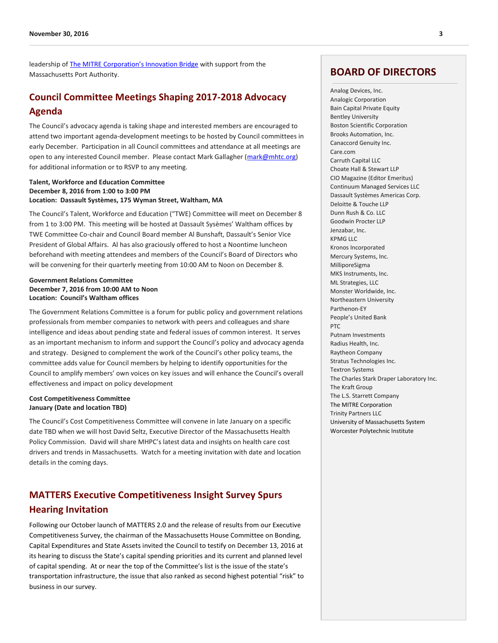leadership of [The MITRE Corporation's Innovation Bridge](http://massinnovationbridge.org/) with support from the Massachusetts Port Authority.

### **Council Committee Meetings Shaping 2017-2018 Advocacy Agenda**

The Council's advocacy agenda is taking shape and interested members are encouraged to attend two important agenda-development meetings to be hosted by Council committees in early December. Participation in all Council committees and attendance at all meetings are open to any interested Council member. Please contact Mark Gallagher [\(mark@mhtc.org\)](mailto:mark@mhtc.org) for additional information or to RSVP to any meeting.

#### **Talent, Workforce and Education Committee December 8, 2016 from 1:00 to 3:00 PM Location: Dassault Systèmes, 175 Wyman Street, Waltham, MA**

The Council's Talent, Workforce and Education ("TWE) Committee will meet on December 8 from 1 to 3:00 PM. This meeting will be hosted at Dassault Sysèmes' Waltham offices by TWE Committee Co-chair and Council Board member Al Bunshaft, Dassault's Senior Vice President of Global Affairs. Al has also graciously offered to host a Noontime luncheon beforehand with meeting attendees and members of the Council's Board of Directors who will be convening for their quarterly meeting from 10:00 AM to Noon on December 8.

#### **Government Relations Committee December 7, 2016 from 10:00 AM to Noon Location: Council's Waltham offices**

The Government Relations Committee is a forum for public policy and government relations professionals from member companies to network with peers and colleagues and share intelligence and ideas about pending state and federal issues of common interest. It serves as an important mechanism to inform and support the Council's policy and advocacy agenda and strategy. Designed to complement the work of the Council's other policy teams, the committee adds value for Council members by helping to identify opportunities for the Council to amplify members' own voices on key issues and will enhance the Council's overall effectiveness and impact on policy development

#### **Cost Competitiveness Committee January (Date and location TBD)**

The Council's Cost Competitiveness Committee will convene in late January on a specific date TBD when we will host David Seltz, Executive Director of the Massachusetts Health Policy Commission. David will share MHPC's latest data and insights on health care cost drivers and trends in Massachusetts. Watch for a meeting invitation with date and location details in the coming days.

### **MATTERS Executive Competitiveness Insight Survey Spurs Hearing Invitation**

Following our October launch of MATTERS 2.0 and the release of results from our Executive Competitiveness Survey, the chairman of the Massachusetts House Committee on Bonding, Capital Expenditures and State Assets invited the Council to testify on December 13, 2016 at its hearing to discuss the State's capital spending priorities and its current and planned level of capital spending. At or near the top of the Committee's list is the issue of the state's transportation infrastructure, the issue that also ranked as second highest potential "risk" to business in our survey.

### **BOARD OF DIRECTORS**

Analog Devices, Inc. Analogic Corporation Bain Capital Private Equity Bentley University Boston Scientific Corporation Brooks Automation, Inc. Canaccord Genuity Inc. Care.com Carruth Capital LLC Choate Hall & Stewart LLP CIO Magazine (Editor Emeritus) Continuum Managed Services LLC Dassault Systèmes Americas Corp. Deloitte & Touche LLP Dunn Rush & Co. LLC Goodwin Procter LLP Jenzabar, Inc. KPMG LLC Kronos Incorporated Mercury Systems, Inc. MilliporeSigma MKS Instruments, Inc. ML Strategies, LLC Monster Worldwide, Inc. Northeastern University Parthenon-EY People's United Bank PTC Putnam Investments Radius Health, Inc. Raytheon Company Stratus Technologies Inc. Textron Systems The Charles Stark Draper Laboratory Inc. The Kraft Group The L.S. Starrett Company The MITRE Corporation Trinity Partners LLC University of Massachusetts System Worcester Polytechnic Institute